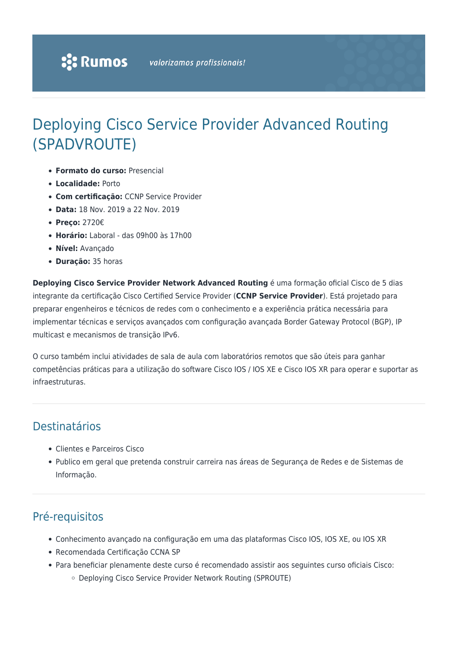# Deploying Cisco Service Provider Advanced Routing (SPADVROUTE)

- **Formato do curso:** Presencial
- **Localidade:** Porto
- **Com certificação:** CCNP Service Provider
- **Data:** 18 Nov. 2019 a 22 Nov. 2019
- **Preço:** 2720€
- **Horário:** Laboral das 09h00 às 17h00
- **Nível:** Avançado
- **Duração:** 35 horas

**Deploying Cisco Service Provider Network Advanced Routing** é uma formação oficial Cisco de 5 dias integrante da certificação Cisco Certified Service Provider (**CCNP Service Provider**). Está projetado para preparar engenheiros e técnicos de redes com o conhecimento e a experiência prática necessária para implementar técnicas e serviços avançados com configuração avançada Border Gateway Protocol (BGP), IP multicast e mecanismos de transição IPv6.

O curso também inclui atividades de sala de aula com laboratórios remotos que são úteis para ganhar competências práticas para a utilização do software Cisco IOS / IOS XE e Cisco IOS XR para operar e suportar as infraestruturas.

### Destinatários

- Clientes e Parceiros Cisco
- Publico em geral que pretenda construir carreira nas áreas de Segurança de Redes e de Sistemas de Informação.

### Pré-requisitos

- Conhecimento avançado na configuração em uma das plataformas Cisco IOS, IOS XE, ou IOS XR
- Recomendada Certificação CCNA SP
- Para beneficiar plenamente deste curso é recomendado assistir aos seguintes curso oficiais Cisco:
	- Deploying Cisco Service Provider Network Routing (SPROUTE)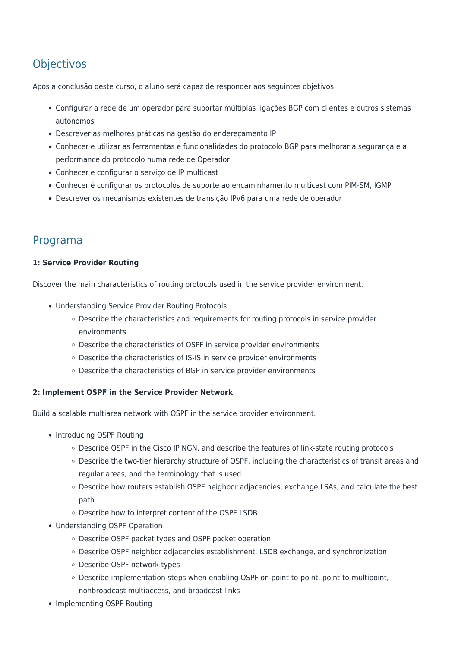## **Objectivos**

Após a conclusão deste curso, o aluno será capaz de responder aos seguintes objetivos:

- Configurar a rede de um operador para suportar múltiplas ligações BGP com clientes e outros sistemas autónomos
- Descrever as melhores práticas na gestão do endereçamento IP
- Conhecer e utilizar as ferramentas e funcionalidades do protocolo BGP para melhorar a segurança e a performance do protocolo numa rede de Operador
- Conhecer e configurar o serviço de IP multicast
- Conhecer é configurar os protocolos de suporte ao encaminhamento multicast com PIM-SM, IGMP
- Descrever os mecanismos existentes de transição IPv6 para uma rede de operador

### Programa

#### **1: Service Provider Routing**

Discover the main characteristics of routing protocols used in the service provider environment.

- Understanding Service Provider Routing Protocols
	- Describe the characteristics and requirements for routing protocols in service provider environments
	- Describe the characteristics of OSPF in service provider environments
	- o Describe the characteristics of IS-IS in service provider environments
	- Describe the characteristics of BGP in service provider environments

#### **2: Implement OSPF in the Service Provider Network**

Build a scalable multiarea network with OSPF in the service provider environment.

- Introducing OSPF Routing
	- Describe OSPF in the Cisco IP NGN, and describe the features of link-state routing protocols
	- o Describe the two-tier hierarchy structure of OSPF, including the characteristics of transit areas and regular areas, and the terminology that is used
	- o Describe how routers establish OSPF neighbor adjacencies, exchange LSAs, and calculate the best path
	- o Describe how to interpret content of the OSPF LSDB
- Understanding OSPF Operation
	- Describe OSPF packet types and OSPF packet operation
	- Describe OSPF neighbor adjacencies establishment, LSDB exchange, and synchronization
	- Describe OSPF network types
	- Describe implementation steps when enabling OSPF on point-to-point, point-to-multipoint, nonbroadcast multiaccess, and broadcast links
- Implementing OSPF Routing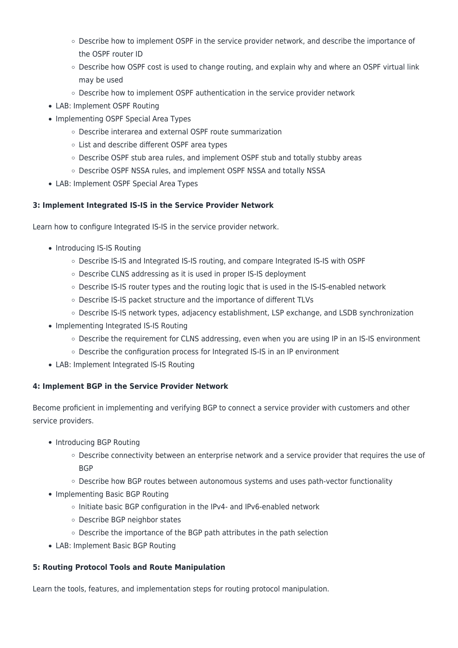- Describe how to implement OSPF in the service provider network, and describe the importance of the OSPF router ID
- $\circ$  Describe how OSPF cost is used to change routing, and explain why and where an OSPF virtual link may be used
- Describe how to implement OSPF authentication in the service provider network
- LAB: Implement OSPF Routing
- Implementing OSPF Special Area Types
	- Describe interarea and external OSPF route summarization
	- List and describe different OSPF area types
	- Describe OSPF stub area rules, and implement OSPF stub and totally stubby areas
	- Describe OSPF NSSA rules, and implement OSPF NSSA and totally NSSA
- LAB: Implement OSPF Special Area Types

#### **3: Implement Integrated IS-IS in the Service Provider Network**

Learn how to configure Integrated IS-IS in the service provider network.

- Introducing IS-IS Routing
	- Describe IS-IS and Integrated IS-IS routing, and compare Integrated IS-IS with OSPF
	- Describe CLNS addressing as it is used in proper IS-IS deployment
	- Describe IS-IS router types and the routing logic that is used in the IS-IS-enabled network
	- Describe IS-IS packet structure and the importance of different TLVs
	- o Describe IS-IS network types, adjacency establishment, LSP exchange, and LSDB synchronization
- Implementing Integrated IS-IS Routing
	- o Describe the requirement for CLNS addressing, even when you are using IP in an IS-IS environment
	- $\circ$  Describe the configuration process for Integrated IS-IS in an IP environment
- LAB: Implement Integrated IS-IS Routing

#### **4: Implement BGP in the Service Provider Network**

Become proficient in implementing and verifying BGP to connect a service provider with customers and other service providers.

- Introducing BGP Routing
	- o Describe connectivity between an enterprise network and a service provider that requires the use of **BGP**
	- o Describe how BGP routes between autonomous systems and uses path-vector functionality
- Implementing Basic BGP Routing
	- Initiate basic BGP configuration in the IPv4- and IPv6-enabled network
	- Describe BGP neighbor states
	- Describe the importance of the BGP path attributes in the path selection
- LAB: Implement Basic BGP Routing

#### **5: Routing Protocol Tools and Route Manipulation**

Learn the tools, features, and implementation steps for routing protocol manipulation.